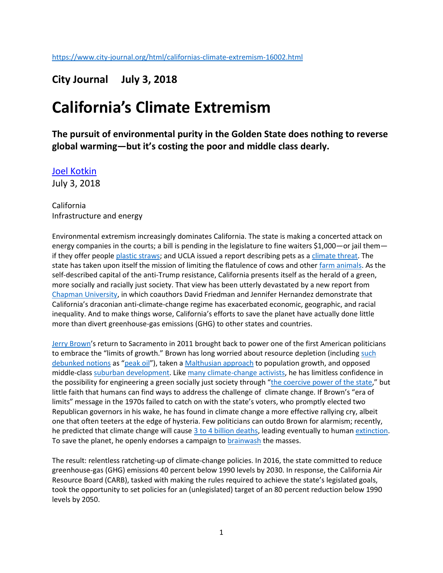## **City Journal July 3, 2018**

## **California's Climate Extremism**

**The pursuit of environmental purity in the Golden State does nothing to reverse global warming—but it's costing the poor and middle class dearly.**

[Joel Kotkin](https://www.city-journal.org/contributor/joel-kotkin_107) July 3, 2018

California Infrastructure and energy

Environmental extremism increasingly dominates California. The state is making a concerted attack on energy companies in the courts; a bill is pending in the legislature to fine waiters \$1,000—or jail them if they offer peopl[e plastic straws;](http://reason.com/blog/2018/01/25/california-bill-would-criminalize-restau) and UCLA issued a report describing pets as a [climate threat.](https://patch.com/california/hollywood/fido-fluffy-are-hurting-environment-ucla-study-says) The state has taken upon itself the mission of limiting the flatulence of cows and other [farm animals.](http://www.latimes.com/local/lanow/la-me-cow-gas-20161129-story.html) As the self-described capital of the anti-Trump resistance, California presents itself as the herald of a green, more socially and racially just society. That view has been utterly devastated by a new report from [Chapman University,](http://www.newgeography.com/content/006014-california-greenhouse-gas-regulation-and-climate-change) in which coauthors David Friedman and Jennifer Hernandez demonstrate that California's draconian anti-climate-change regime has exacerbated economic, geographic, and racial inequality. And to make things worse, California's efforts to save the planet have actually done little more than divert greenhouse-gas emissions (GHG) to other states and countries.

[Jerry Brown](https://archive.nytimes.com/www.nytimes.com/gwire/2010/10/08/08greenwire-jerry-browns-environmental-record-runs-deep-44334.html?pagewanted=all)'s return to Sacramento in 2011 brought back to power one of the first American politicians to embrace the "limits of growth." Brown has long worried about resource depletion (including such [debunked notions](https://fee.org/articles/18-spectacularly-wrong-predictions-made-around-the-time-of-the-first-earth-day-in-1970-expect-more-this-year/) as "[peak oil](http://www.siliconbeat.com/2013/07/08/gov-jerry-brown-at-intersolar-theres-plenty-of-sun-and-its-going-to-take-storage/)"), taken a [Malthusian approach](http://dailycaller.com/2015/06/10/jerry-brown-worries-about-overpopulation-amid-ca-drought/) to population growth, and opposed middle-class [suburban development.](http://www.sfgate.com/green/article/Sprawl-clashes-with-warming-in-California-2591007.php) Lik[e many climate-change activists,](https://www.wsj.com/articles/doomsday-climate-scenarios-are-a-joke-1520800377?shareToken=st435339ed5eb547259eb78cdbf9fbec0f&reflink=article_email_share) he has limitless confidence in the possibility for engineering a green socially just society through "[the coercive power of the state](http://www.sacbee.com/news/politics-government/capitol-alert/article48466200.html)," but little faith that humans can find ways to address the challenge of climate change. If Brown's "era of limits" message in the 1970s failed to catch on with the state's voters, who promptly elected two Republican governors in his wake, he has found in climate change a more effective rallying cry, albeit one that often teeters at the edge of hysteria. Few politicians can outdo Brown for alarmism; recently, he predicted that climate change will cause  $3$  to 4 billion deaths, leading eventually to huma[n extinction.](https://www.sacbee.com/news/politics-government/capitol-alert/article27998554.html) To save the planet, he openly endorses a campaign to **brainwash** the masses.

The result: relentless ratcheting-up of climate-change policies. In 2016, the state committed to reduce greenhouse-gas (GHG) emissions 40 percent below 1990 levels by 2030. In response, the California Air Resource Board (CARB), tasked with making the rules required to achieve the state's legislated goals, took the opportunity to set policies for an (unlegislated) target of an 80 percent reduction below 1990 levels by 2050.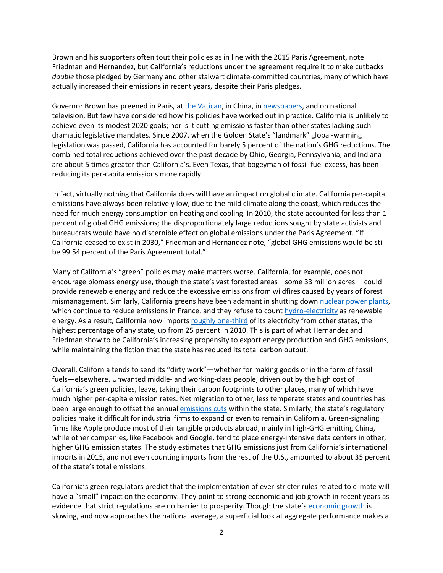Brown and his supporters often tout their policies as in line with the 2015 Paris Agreement, note Friedman and Hernandez, but California's reductions under the agreement require it to make cutbacks *double* those pledged by Germany and other stalwart climate-committed countries, many of which have actually increased their emissions in recent years, despite their Paris pledges.

Governor Brown has preened in Paris, a[t the Vatican,](http://www.ncregister.com/blog/joan-desmond/california-gov.-to-vatican-brain-washing-needed-to-tackle-climate-change) in China, in [newspapers,](https://www.usatoday.com/story/opinion/2018/06/01/climate-change-work-continues-trumps-paris-retreat-governors-column/661059002/) and on national television. But few have considered how his policies have worked out in practice. California is unlikely to achieve even its modest 2020 goals; nor is it cutting emissions faster than other states lacking such dramatic legislative mandates. Since 2007, when the Golden State's "landmark" global-warming legislation was passed, California has accounted for barely 5 percent of the nation's GHG reductions. The combined total reductions achieved over the past decade by Ohio, Georgia, Pennsylvania, and Indiana are about 5 times greater than California's. Even Texas, that bogeyman of fossil-fuel excess, has been reducing its per-capita emissions more rapidly.

In fact, virtually nothing that California does will have an impact on global climate. California per-capita emissions have always been relatively low, due to the mild climate along the coast, which reduces the need for much energy consumption on heating and cooling. In 2010, the state accounted for less than 1 percent of global GHG emissions; the disproportionately large reductions sought by state activists and bureaucrats would have no discernible effect on global emissions under the Paris Agreement. "If California ceased to exist in 2030," Friedman and Hernandez note, "global GHG emissions would be still be 99.54 percent of the Paris Agreement total."

Many of California's "green" policies may make matters worse. California, for example, does not encourage biomass energy use, though the state's vast forested areas—some 33 million acres— could provide renewable energy and reduce the excessive emissions from wildfires caused by years of forest mismanagement. Similarly, California greens have been adamant in shutting down [nuclear power plants,](https://wattsupwiththat.com/2017/12/02/lifelong-democrat-declares-war-on-governor-jerry-brown-over-nuclear-power/) which continue to reduce emissions in France, and they refuse to count [hydro-electricity](https://www.dailyrepublic.com/opinion/local-opinion-columnists/calmatters-commentary-cause-of-greenhouse-gas-decline-ironic/) as renewable energy. As a result, California now imports [roughly one-third](https://www.forbes.com/sites/judeclemente/2016/04/03/californias-growing-imported-electricity-problem/#7249c4484469) of its electricity from other states, the highest percentage of any state, up from 25 percent in 2010. This is part of what Hernandez and Friedman show to be California's increasing propensity to export energy production and GHG emissions, while maintaining the fiction that the state has reduced its total carbon output.

Overall, California tends to send its "dirty work"—whether for making goods or in the form of fossil fuels—elsewhere. Unwanted middle- and working-class people, driven out by the high cost of California's green policies, leave, taking their carbon footprints to other places, many of which have much higher per-capita emission rates. Net migration to other, less temperate states and countries has been large enough to offset the annual [emissions cuts](http://www.newgeography.com/content/004922-california-environmental-quality-act-greenhouse-gas-regulation-and-climate-change) within the state. Similarly, the state's regulatory policies make it difficult for industrial firms to expand or even to remain in California. Green-signaling firms like Apple produce most of their tangible products abroad, mainly in high-GHG emitting China, while other companies, like Facebook and Google, tend to place energy-intensive data centers in other, higher GHG emission states. The study estimates that GHG emissions just from California's international imports in 2015, and not even counting imports from the rest of the U.S., amounted to about 35 percent of the state's total emissions.

California's green regulators predict that the implementation of ever-stricter rules related to climate will have a "small" impact on the economy. They point to strong economic and job growth in recent years as evidence that strict regulations are no barrier to prosperity. Though the state's [economic growth](../Users/pbeston/AppData/Local/Microsoft/Windows/INetCache/Content.Outlook/8W3ACEX2/to%20https:/www.clucerf.org/June2018_California_Forecast/) is slowing, and now approaches the national average, a superficial look at aggregate performance makes a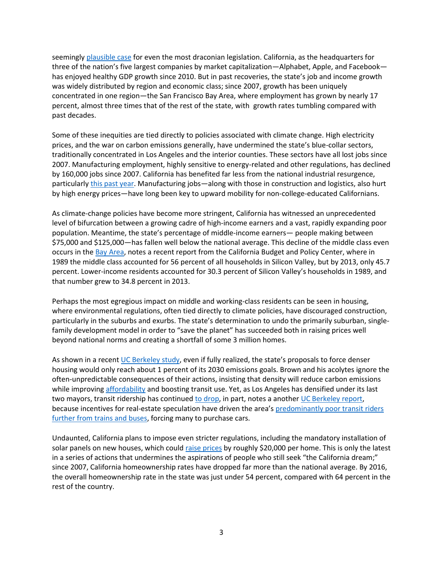seemingl[y plausible case](https://www.arb.ca.gov/cc/scopingplan/scopingplan.htm) for even the most draconian legislation. California, as the headquarters for three of the nation's five largest companies by market capitalization—Alphabet, Apple, and Facebook has enjoyed healthy GDP growth since 2010. But in past recoveries, the state's job and income growth was widely distributed by region and economic class; since 2007, growth has been uniquely concentrated in one region—the San Francisco Bay Area, where employment has grown by nearly 17 percent, almost three times that of the rest of the state, with growth rates tumbling compared with past decades.

Some of these inequities are tied directly to policies associated with climate change. High electricity prices, and the war on carbon emissions generally, have undermined the state's blue-collar sectors, traditionally concentrated in Los Angeles and the interior counties. These sectors have all lost jobs since 2007. Manufacturing employment, highly sensitive to energy-related and other regulations, has declined by 160,000 jobs since 2007. California has benefited far less from the national industrial resurgence, particularly [this past year.](https://www.bloomberg.com/view/articles/2018-06-01/jobs-report-is-good-news-for-u-s-manufacturing) Manufacturing jobs—along with those in construction and logistics, also hurt by high energy prices—have long been key to upward mobility for non-college-educated Californians.

As climate-change policies have become more stringent, California has witnessed an unprecedented level of bifurcation between a growing cadre of high-income earners and a vast, rapidly expanding poor population. Meantime, the state's percentage of middle-income earners— people making between \$75,000 and \$125,000—has fallen well below the national average. This decline of the middle class even occurs in th[e Bay Area,](http://taxprof.typepad.com/taxprof_blog/2016/06/skyrocketing-housing-costs-endless-taxes-prompt-exodus-of-californians-inequality-worsens-as-middle-.html) notes a recent report from the California Budget and Policy Center, where in 1989 the middle class accounted for 56 percent of all households in Silicon Valley, but by 2013, only 45.7 percent. Lower-income residents accounted for 30.3 percent of Silicon Valley's households in 1989, and that number grew to 34.8 percent in 2013.

Perhaps the most egregious impact on middle and working-class residents can be seen in housing, where environmental regulations, often tied directly to climate policies, have discouraged construction, particularly in the suburbs and exurbs. The state's determination to undo the primarily suburban, singlefamily development model in order to "save the planet" has succeeded both in raising prices well beyond national norms and creating a shortfall of some 3 million homes.

As shown in a recent [UC Berkeley study](../Nathaniel%20Decker%20et%20al.,%20Right%20Type%20Right%20Place/%20Assessing%20the%20Environmental%20and%20Economic%20Impacts%20of%20Infill%20Residential), even if fully realized, the state's proposals to force denser housing would only reach about 1 percent of its 2030 emissions goals. Brown and his acolytes ignore the often-unpredictable consequences of their actions, insisting that density will reduce carbon emissions while improving [affordability](http://www.newgeography.com/content/005896-will-density-make-housing-affordable) and boosting transit use. Yet, as Los Angeles has densified under its last two mayors, transit ridership has continue[d to drop,](http://www.newgeography.com/content/005800-los-angeles-transit-ridership-losses-lead-national-decline) in part, notes a another [UC Berkeley report,](https://48hills.org/2017/04/dramatic-new-study-questions-transit-oriented-development/) because incentives for real-estate speculation have driven the area's [predominantly poor transit riders](https://www.dailynews.com/2018/01/31/southern-californians-youre-buying-more-cars-heres-what-that-means-to-mass-transit/)  [further from trains and buses,](https://www.dailynews.com/2018/01/31/southern-californians-youre-buying-more-cars-heres-what-that-means-to-mass-transit/) forcing many to purchase cars.

Undaunted, California plans to impose even stricter regulations, including the mandatory installation of solar panels on new houses, which could [raise prices](https://www.forbes.com/sites/michaelshellenberger/2018/05/10/californias-solar-roof-law-will-increase-housing-energy-prices-and-do-little-to-reduce-emissions/#15cdeb6c3199) by roughly \$20,000 per home. This is only the latest in a series of actions that undermines the aspirations of people who still seek "the California dream;" since 2007, California homeownership rates have dropped far more than the national average. By 2016, the overall homeownership rate in the state was just under 54 percent, compared with 64 percent in the rest of the country.